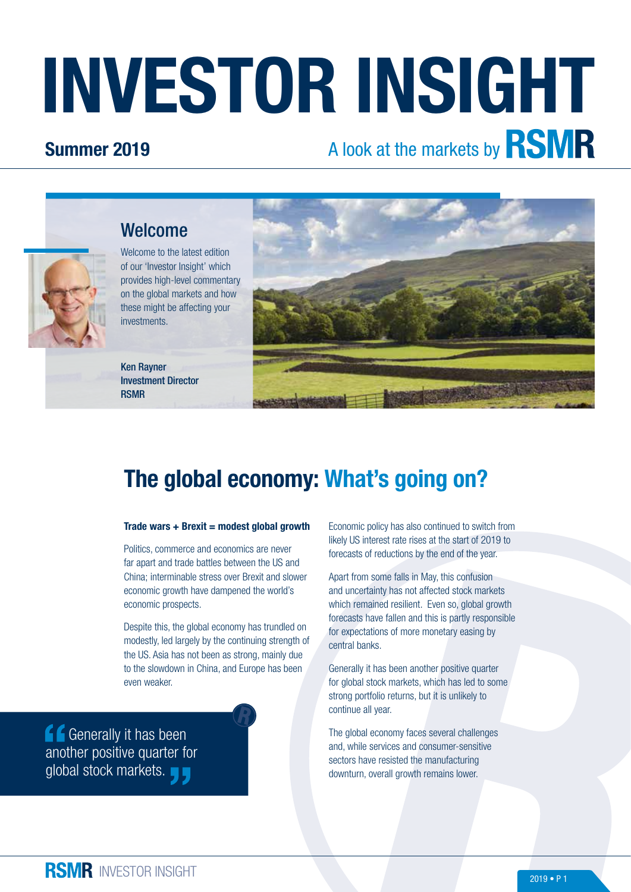# INVESTOR INSIGHT

## Summer 2019

# A look at the markets by **RSMR**



Welcome to the latest edition of our 'Investor Insight' which provides high-level commentary on the global markets and how these might be affecting your investments.



Welcome



## The global economy: What's going on?

#### Trade wars  $+$  Brexit = modest global growth

Politics, commerce and economics are never far apart and trade battles between the US and China; interminable stress over Brexit and slower economic growth have dampened the world's economic prospects.

Despite this, the global economy has trundled on modestly, led largely by the continuing strength of the US. Asia has not been as strong, mainly due to the slowdown in China, and Europe has been even weaker.

**Generally it has been** another positive quarter for global stock markets.

Economic policy has also continued to switch from likely US interest rate rises at the start of 2019 to forecasts of reductions by the end of the year.

Apart from some falls in May, this confusion and uncertainty has not affected stock markets which remained resilient. Even so, global growth forecasts have fallen and this is partly responsible for expectations of more monetary easing by central banks.

Generally it has been another positive quarter for global stock markets, which has led to some strong portfolio returns, but it is unlikely to continue all year.

The global economy faces several challenges and, while services and consumer-sensitive sectors have resisted the manufacturing downturn, overall growth remains lower.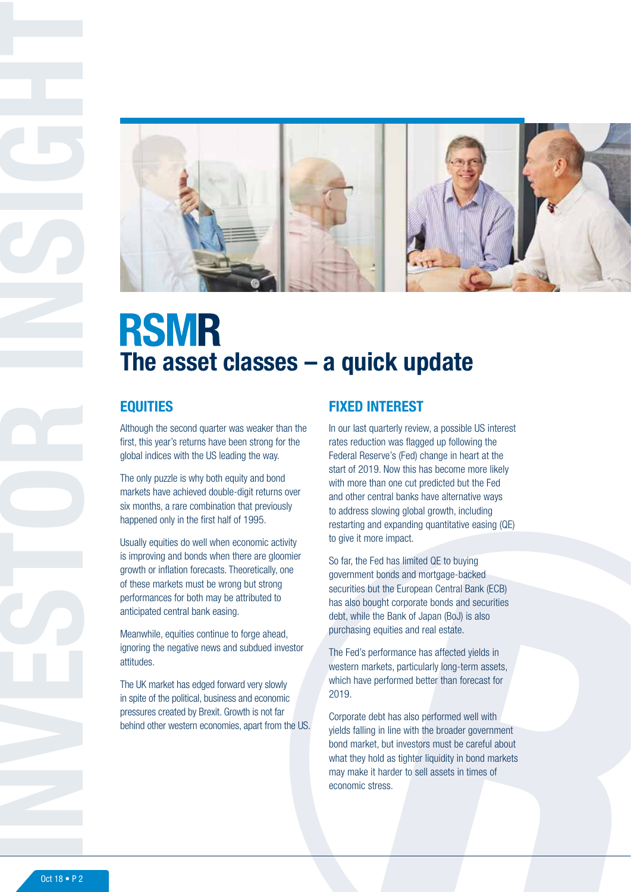

# **RSMR** The asset classes – a quick update

### **EQUITIES**

Although the second quarter was weaker than the first, this year's returns have been strong for the global indices with the US leading the way.

The only puzzle is why both equity and bond markets have achieved double-digit returns over six months, a rare combination that previously happened only in the first half of 1995.

Usually equities do well when economic activity is improving and bonds when there are gloomier growth or inflation forecasts. Theoretically, one of these markets must be wrong but strong performances for both may be attributed to anticipated central bank easing.

Meanwhile, equities continue to forge ahead, ignoring the negative news and subdued investor attitudes.

The UK market has edged forward very slowly in spite of the political, business and economic pressures created by Brexit. Growth is not far behind other western economies, apart from the US.

## FIXED INTEREST

In our last quarterly review, a possible US interest rates reduction was flagged up following the Federal Reserve's (Fed) change in heart at the start of 2019. Now this has become more likely with more than one cut predicted but the Fed and other central banks have alternative ways to address slowing global growth, including restarting and expanding quantitative easing (QE) to give it more impact.

So far, the Fed has limited QE to buying government bonds and mortgage-backed securities but the European Central Bank (ECB) has also bought corporate bonds and securities debt, while the Bank of Japan (BoJ) is also purchasing equities and real estate.

The Fed's performance has affected yields in western markets, particularly long-term assets, which have performed better than forecast for 2019.

Corporate debt has also performed well with yields falling in line with the broader government bond market, but investors must be careful about what they hold as tighter liquidity in bond markets may make it harder to sell assets in times of economic stress.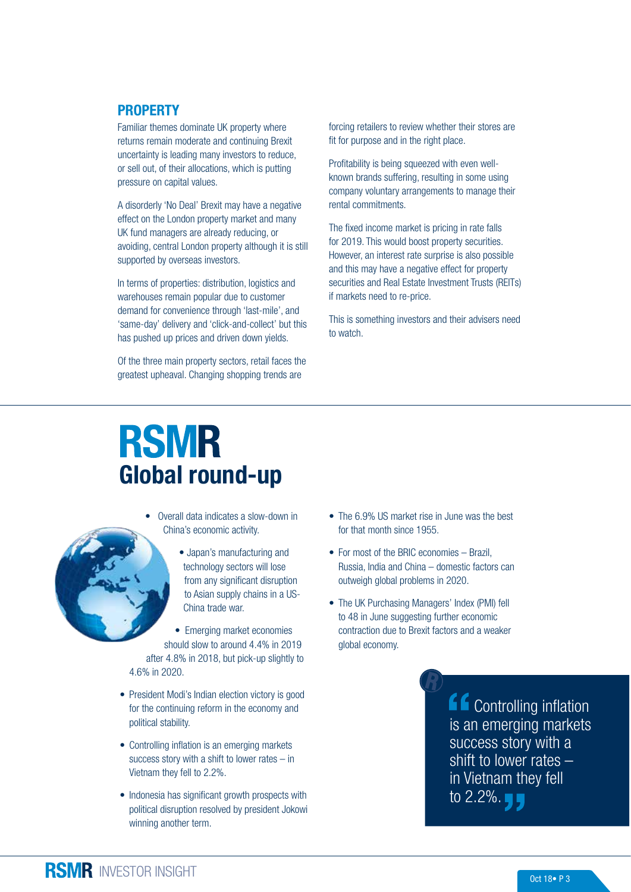#### PROPERTY

Familiar themes dominate UK property where returns remain moderate and continuing Brexit uncertainty is leading many investors to reduce, or sell out, of their allocations, which is putting pressure on capital values.

A disorderly 'No Deal' Brexit may have a negative effect on the London property market and many UK fund managers are already reducing, or avoiding, central London property although it is still supported by overseas investors.

In terms of properties: distribution, logistics and warehouses remain popular due to customer demand for convenience through 'last-mile', and 'same-day' delivery and 'click-and-collect' but this has pushed up prices and driven down yields.

Of the three main property sectors, retail faces the greatest upheaval. Changing shopping trends are

forcing retailers to review whether their stores are fit for purpose and in the right place.

Profitability is being squeezed with even wellknown brands suffering, resulting in some using company voluntary arrangements to manage their rental commitments.

The fixed income market is pricing in rate falls for 2019. This would boost property securities. However, an interest rate surprise is also possible and this may have a negative effect for property securities and Real Estate Investment Trusts (REITs) if markets need to re-price.

This is something investors and their advisers need to watch.

# **RSMR** Global round-up

![](_page_2_Picture_10.jpeg)

• Overall data indicates a slow-down in China's economic activity.

> • Japan's manufacturing and technology sectors will lose from any significant disruption to Asian supply chains in a US-China trade war.

• Emerging market economies should slow to around 4.4% in 2019 after 4.8% in 2018, but pick-up slightly to 4.6% in 2020.

- President Modi's Indian election victory is good for the continuing reform in the economy and political stability.
- Controlling inflation is an emerging markets success story with a shift to lower rates – in Vietnam they fell to 2.2%.
- Indonesia has significant growth prospects with political disruption resolved by president Jokowi winning another term.
- The 6.9% US market rise in June was the best for that month since 1955.
- For most of the BRIC economies Brazil, Russia, India and China – domestic factors can outweigh global problems in 2020.
- The UK Purchasing Managers' Index (PMI) fell to 48 in June suggesting further economic contraction due to Brexit factors and a weaker global economy.

 Controlling inflation is an emerging markets success story with a shift to lower rates – in Vietnam they fell to 2.2%.  $\blacksquare$